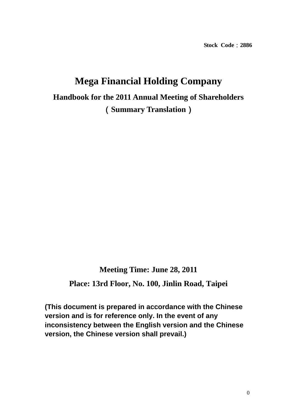**Stock Code**:**2886** 

# **Mega Financial Holding Company Handbook for the 2011 Annual Meeting of Shareholders**  (**Summary Translation**)

**Meeting Time: June 28, 2011 Place: 13rd Floor, No. 100, Jinlin Road, Taipei** 

**(This document is prepared in accordance with the Chinese version and is for reference only. In the event of any inconsistency between the English version and the Chinese version, the Chinese version shall prevail.)**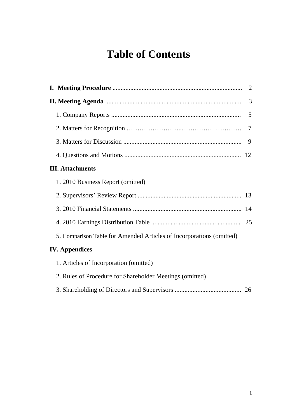# **Table of Contents**

|                                                                      | 2 |
|----------------------------------------------------------------------|---|
|                                                                      | 3 |
|                                                                      | 5 |
|                                                                      | 7 |
|                                                                      | 9 |
|                                                                      |   |
| <b>III. Attachments</b>                                              |   |
| 1. 2010 Business Report (omitted)                                    |   |
|                                                                      |   |
|                                                                      |   |
|                                                                      |   |
| 5. Comparison Table for Amended Articles of Incorporations (omitted) |   |
| <b>IV.</b> Appendices                                                |   |
| 1. Articles of Incorporation (omitted)                               |   |
| 2. Rules of Procedure for Shareholder Meetings (omitted)             |   |
|                                                                      |   |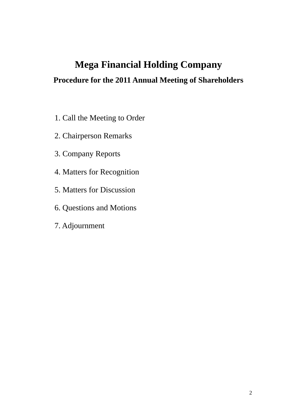# **Mega Financial Holding Company**

# **Procedure for the 2011 Annual Meeting of Shareholders**

- 1. Call the Meeting to Order
- 2. Chairperson Remarks
- 3. Company Reports
- 4. Matters for Recognition
- 5. Matters for Discussion
- 6. Questions and Motions
- 7. Adjournment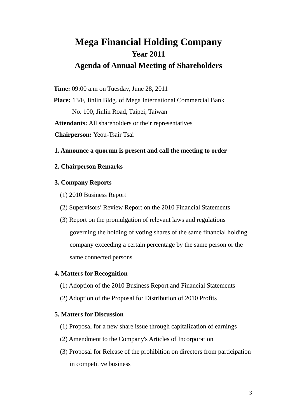# **Mega Financial Holding Company Year 2011 Agenda of Annual Meeting of Shareholders**

**Time:** 09:00 a.m on Tuesday, June 28, 2011

**Place:** 13/F, Jinlin Bldg. of Mega International Commercial Bank No. 100, Jinlin Road, Taipei, Taiwan **Attendants:** All shareholders or their representatives **Chairperson:** Yeou-Tsair Tsai

### **1. Announce a quorum is present and call the meeting to order**

### **2. Chairperson Remarks**

### **3. Company Reports**

- (1) 2010 Business Report
- (2) Supervisors' Review Report on the 2010 Financial Statements
- (3) Report on the promulgation of relevant laws and regulations governing the holding of voting shares of the same financial holding company exceeding a certain percentage by the same person or the same connected persons

### **4. Matters for Recognition**

- (1) Adoption of the 2010 Business Report and Financial Statements
- (2) Adoption of the Proposal for Distribution of 2010 Profits

## **5. Matters for Discussion**

- (1) Proposal for a new share issue through capitalization of earnings
- (2) Amendment to the Company's Articles of Incorporation
- (3) Proposal for Release of the prohibition on directors from participation in competitive business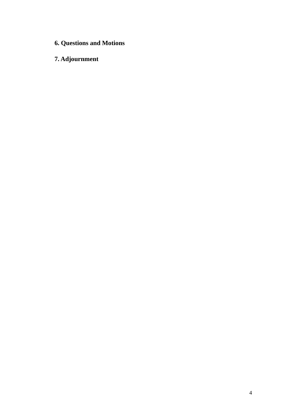- **6. Questions and Motions**
- **7. Adjournment**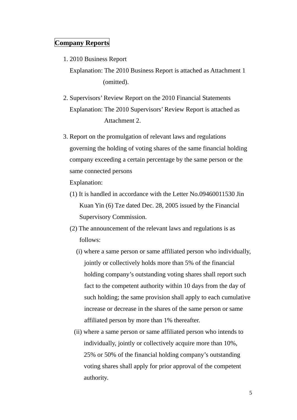# **Company Reports**

1. 2010 Business Report

Explanation: The 2010 Business Report is attached as Attachment 1 (omitted).

- 2. Supervisors' Review Report on the 2010 Financial Statements Explanation: The 2010 Supervisors' Review Report is attached as Attachment 2.
- 3. Report on the promulgation of relevant laws and regulations governing the holding of voting shares of the same financial holding company exceeding a certain percentage by the same person or the same connected persons

Explanation:

- (1) It is handled in accordance with the Letter No.09460011530 Jin Kuan Yin (6) Tze dated Dec. 28, 2005 issued by the Financial Supervisory Commission.
- (2) The announcement of the relevant laws and regulations is as follows:
	- (i) where a same person or same affiliated person who individually, jointly or collectively holds more than 5% of the financial holding company's outstanding voting shares shall report such fact to the competent authority within 10 days from the day of such holding; the same provision shall apply to each cumulative increase or decrease in the shares of the same person or same affiliated person by more than 1% thereafter.
	- (ii) where a same person or same affiliated person who intends to individually, jointly or collectively acquire more than 10%, 25% or 50% of the financial holding company's outstanding voting shares shall apply for prior approval of the competent authority.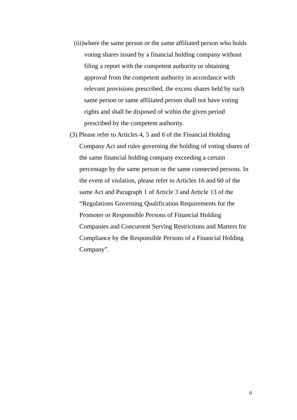- (iii)where the same person or the same affiliated person who holds voting shares issued by a financial holding company without filing a report with the competent authority or obtaining approval from the competent authority in accordance with relevant provisions prescribed, the excess shares held by such same person or same affiliated person shall not have voting rights and shall be disposed of within the given period prescribed by the competent authority.
- (3) Please refer to Articles 4, 5 and 6 of the Financial Holding Company Act and rules governing the holding of voting shares of the same financial holding company exceeding a certain percentage by the same person or the same connected persons. In the event of violation, please refer to Articles 16 and 60 of the same Act and Paragraph 1 of Article 3 and Article 13 of the "Regulations Governing Qualification Requirements for the Promoter or Responsible Persons of Financial Holding Companies and Concurrent Serving Restrictions and Matters for Compliance by the Responsible Persons of a Financial Holding Company".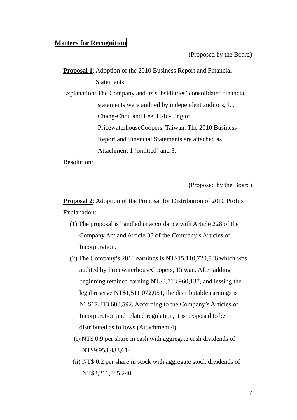## **Matters for Recognition**

(Proposed by the Board)

**Proposal 1**: Adoption of the 2010 Business Report and Financial **Statements** 

Explanation: The Company and its subsidiaries' consolidated financial statements were audited by independent auditors, Li, Chang-Chou and Lee, Hsiu-Ling of PricewaterhouseCoopers, Taiwan. The 2010 Business Report and Financial Statements are attached as Attachment 1 (omitted) and 3.

Resolution:

(Proposed by the Board)

**Proposal 2**: Adoption of the Proposal for Distribution of 2010 Profits Explanation:

- (1) The proposal is handled in accordance with Article 228 of the Company Act and Article 33 of the Company's Articles of Incorporation.
- (2) The Company's 2010 earnings is NT\$15,110,720,506 which was audited by PricewaterhouseCoopers, Taiwan. After adding beginning retained earning NT\$3,713,960,137, and lessing the legal reserve NT\$1,511,072,051, the distributable earnings is NT\$17,313,608,592. According to the Company's Articles of Incorporation and related regulation, it is proposed to be distributed as follows (Attachment 4):
	- (i) NT\$ 0.9 per share in cash with aggregate cash dividends of NT\$9,953,483,614.
	- (ii) NT\$ 0.2 per share in stock with aggregate stock dividends of NT\$2,211,885,240.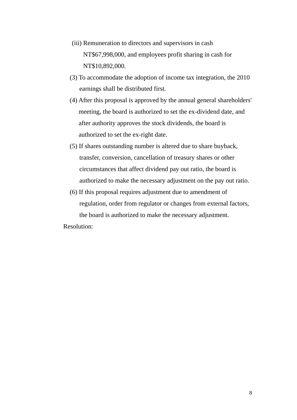- (iii) Remuneration to directors and supervisors in cash NT\$67,998,000, and employees profit sharing in cash for NT\$10,892,000.
- (3) To accommodate the adoption of income tax integration, the 2010 earnings shall be distributed first.
- (4) After this proposal is approved by the annual general shareholders' meeting, the board is authorized to set the ex-dividend date, and after authority approves the stock dividends, the board is authorized to set the ex-right date.
- (5) If shares outstanding number is altered due to share buyback, transfer, conversion, cancellation of treasury shares or other circumstances that affect dividend pay out ratio, the board is authorized to make the necessary adjustment on the pay out ratio.
- (6) If this proposal requires adjustment due to amendment of regulation, order from regulator or changes from external factors, the board is authorized to make the necessary adjustment.

Resolution: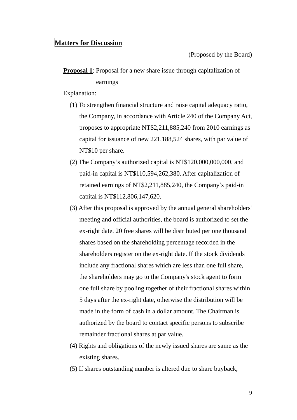## **Matters for Discussion**

(Proposed by the Board)

# **Proposal 1**: Proposal for a new share issue through capitalization of earnings

Explanation:

- (1) To strengthen financial structure and raise capital adequacy ratio, the Company, in accordance with Article 240 of the Company Act, proposes to appropriate NT\$2,211,885,240 from 2010 earnings as capital for issuance of new 221,188,524 shares, with par value of NT\$10 per share.
- (2) The Company's authorized capital is NT\$120,000,000,000, and paid-in capital is NT\$110,594,262,380. After capitalization of retained earnings of NT\$2,211,885,240, the Company's paid-in capital is NT\$112,806,147,620.
- (3) After this proposal is approved by the annual general shareholders' meeting and official authorities, the board is authorized to set the ex-right date. 20 free shares will be distributed per one thousand shares based on the shareholding percentage recorded in the shareholders register on the ex-right date. If the stock dividends include any fractional shares which are less than one full share, the shareholders may go to the Company's stock agent to form one full share by pooling together of their fractional shares within 5 days after the ex-right date, otherwise the distribution will be made in the form of cash in a dollar amount. The Chairman is authorized by the board to contact specific persons to subscribe remainder fractional shares at par value.
- (4) Rights and obligations of the newly issued shares are same as the existing shares.
- (5) If shares outstanding number is altered due to share buyback,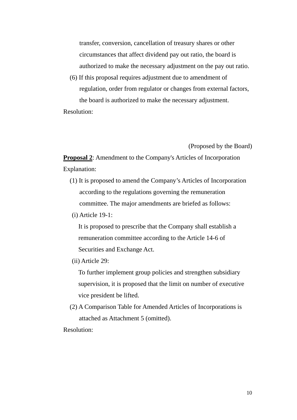transfer, conversion, cancellation of treasury shares or other circumstances that affect dividend pay out ratio, the board is authorized to make the necessary adjustment on the pay out ratio.

(6) If this proposal requires adjustment due to amendment of regulation, order from regulator or changes from external factors, the board is authorized to make the necessary adjustment.

Resolution:

(Proposed by the Board)

**Proposal 2**: Amendment to the Company's Articles of Incorporation Explanation:

- (1) It is proposed to amend the Company's Articles of Incorporation according to the regulations governing the remuneration committee. The major amendments are briefed as follows:
- (i) Article 19-1:

It is proposed to prescribe that the Company shall establish a remuneration committee according to the Article 14-6 of Securities and Exchange Act.

(ii) Article 29:

To further implement group policies and strengthen subsidiary supervision, it is proposed that the limit on number of executive vice president be lifted.

(2) A Comparison Table for Amended Articles of Incorporations is attached as Attachment 5 (omitted).

Resolution: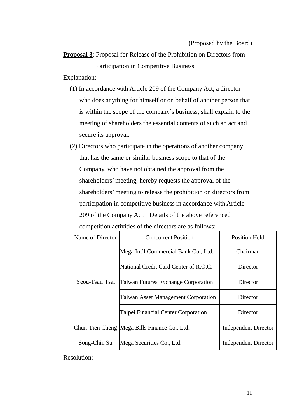**Proposal 3**: Proposal for Release of the Prohibition on Directors from Participation in Competitive Business.

Explanation:

- (1) In accordance with Article 209 of the Company Act, a director who does anything for himself or on behalf of another person that is within the scope of the company's business, shall explain to the meeting of shareholders the essential contents of such an act and secure its approval.
- (2) Directors who participate in the operations of another company that has the same or similar business scope to that of the Company, who have not obtained the approval from the shareholders' meeting, hereby requests the approval of the shareholders' meeting to release the prohibition on directors from participation in competitive business in accordance with Article 209 of the Company Act. Details of the above referenced competition activities of the directors are as follows:

| Name of Director | <b>Concurrent Position</b>                     | <b>Position Held</b>        |
|------------------|------------------------------------------------|-----------------------------|
|                  | Mega Int'l Commercial Bank Co., Ltd.           | Chairman                    |
|                  | National Credit Card Center of R.O.C.          | Director                    |
| Yeou-Tsair Tsai  | Taiwan Futures Exchange Corporation            | Director                    |
|                  | <b>Taiwan Asset Management Corporation</b>     | Director                    |
|                  | Taipei Financial Center Corporation            | Director                    |
|                  | Chun-Tien Cheng   Mega Bills Finance Co., Ltd. | <b>Independent Director</b> |
| Song-Chin Su     | Mega Securities Co., Ltd.                      | <b>Independent Director</b> |

Resolution: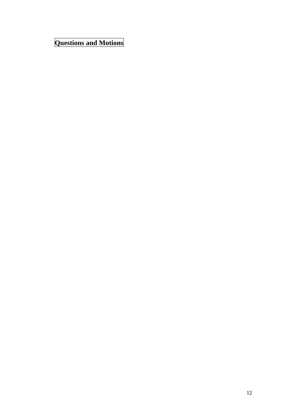**Questions and Motions**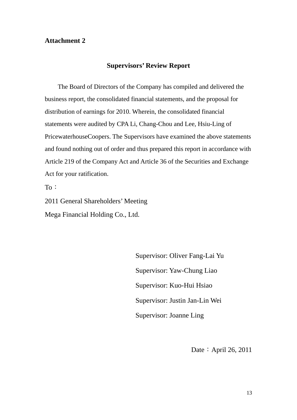## **Attachment 2**

### **Supervisors' Review Report**

 The Board of Directors of the Company has compiled and delivered the business report, the consolidated financial statements, and the proposal for distribution of earnings for 2010. Wherein, the consolidated financial statements were audited by CPA Li, Chang-Chou and Lee, Hsiu-Ling of PricewaterhouseCoopers. The Supervisors have examined the above statements and found nothing out of order and thus prepared this report in accordance with Article 219 of the Company Act and Article 36 of the Securities and Exchange Act for your ratification.

To:

2011 General Shareholders' Meeting Mega Financial Holding Co., Ltd.

> Supervisor: Oliver Fang-Lai Yu Supervisor: Yaw-Chung Liao Supervisor: Kuo-Hui Hsiao Supervisor: Justin Jan-Lin Wei Supervisor: Joanne Ling

> > Date: April 26, 2011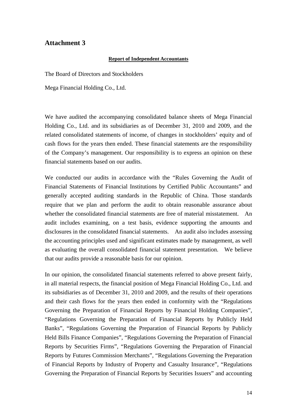## **Attachment 3**

#### **Report of Independent Accountants**

The Board of Directors and Stockholders

Mega Financial Holding Co., Ltd.

We have audited the accompanying consolidated balance sheets of Mega Financial Holding Co., Ltd. and its subsidiaries as of December 31, 2010 and 2009, and the related consolidated statements of income, of changes in stockholders' equity and of cash flows for the years then ended. These financial statements are the responsibility of the Company's management. Our responsibility is to express an opinion on these financial statements based on our audits.

We conducted our audits in accordance with the "Rules Governing the Audit of Financial Statements of Financial Institutions by Certified Public Accountants" and generally accepted auditing standards in the Republic of China. Those standards require that we plan and perform the audit to obtain reasonable assurance about whether the consolidated financial statements are free of material misstatement. An audit includes examining, on a test basis, evidence supporting the amounts and disclosures in the consolidated financial statements. An audit also includes assessing the accounting principles used and significant estimates made by management, as well as evaluating the overall consolidated financial statement presentation. We believe that our audits provide a reasonable basis for our opinion.

In our opinion, the consolidated financial statements referred to above present fairly, in all material respects, the financial position of Mega Financial Holding Co., Ltd. and its subsidiaries as of December 31, 2010 and 2009, and the results of their operations and their cash flows for the years then ended in conformity with the "Regulations Governing the Preparation of Financial Reports by Financial Holding Companies", "Regulations Governing the Preparation of Financial Reports by Publicly Held Banks", "Regulations Governing the Preparation of Financial Reports by Publicly Held Bills Finance Companies", "Regulations Governing the Preparation of Financial Reports by Securities Firms", "Regulations Governing the Preparation of Financial Reports by Futures Commission Merchants", "Regulations Governing the Preparation of Financial Reports by Industry of Property and Casualty Insurance", "Regulations Governing the Preparation of Financial Reports by Securities Issuers" and accounting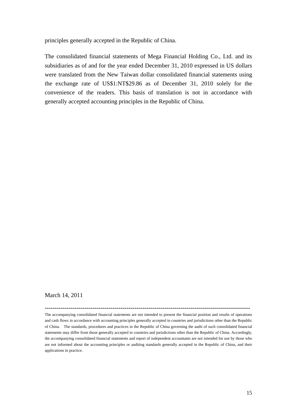principles generally accepted in the Republic of China.

The consolidated financial statements of Mega Financial Holding Co., Ltd. and its subsidiaries as of and for the year ended December 31, 2010 expressed in US dollars were translated from the New Taiwan dollar consolidated financial statements using the exchange rate of US\$1:NT\$29.86 as of December 31, 2010 solely for the convenience of the readers. This basis of translation is not in accordance with generally accepted accounting principles in the Republic of China.

#### March 14, 2011

The accompanying consolidated financial statements are not intended to present the financial position and results of operations and cash flows in accordance with accounting principles generally accepted in countries and jurisdictions other than the Republic of China. The standards, procedures and practices in the Republic of China governing the audit of such consolidated financial statements may differ from those generally accepted in countries and jurisdictions other than the Republic of China. Accordingly, the accompanying consolidated financial statements and report of independent accountants are not intended for use by those who are not informed about the accounting principles or auditing standards generally accepted in the Republic of China, and their applications in practice.

**-------------------------------------------------------------------------------------------------------**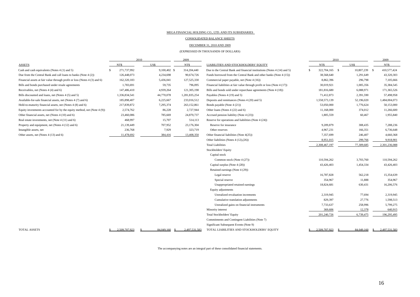#### MEGA FINANCIAL HOLDING CO., LTD. AND ITS SUBSIDIARIES

CONSOLIDATED BALANCE SHEETS

DECEMBER 31, 2010 AND 2009

(EXPRESSED IN THOUSANDS OF DOLLARS)

|                                                                           |               | 2010 |              | 2009          |                                                                          |     | 2010           |            |      | 2009          |
|---------------------------------------------------------------------------|---------------|------|--------------|---------------|--------------------------------------------------------------------------|-----|----------------|------------|------|---------------|
| <b>ASSETS</b>                                                             | NT\$          |      | US\$         | NT\$          | LIABILITIES AND STOCKHOLDERS' EQUITY                                     |     | NT\$           | US\$       |      | NT\$          |
| Cash and cash equivalents (Notes 4 (1) and 5)                             | 271,737,992   |      | 9,100,402 \$ | 314,204,440   | Due to the Central Bank and financial institutions (Notes 4 (14) and 5)  | \$. | 322,704,165 \$ | 10,807,239 | - \$ | 410,577,424   |
| Due from the Central Bank and call loans to banks (Note 4 (2))            | 126,448,073   |      | 4,234,698    | 90,674,726    | Funds borrowed from the Central Bank and other banks (Note 4 (15))       |     | 38,568,640     | 1,291,649  |      | 43,320,303    |
| Financial assets at fair value through profit or loss (Notes 4 (3) and 6) | 162,320,183   |      | 5,436,041    | 127,525,330   | Commercial paper payable, net (Note 4 (16))                              |     | 8,862,396      | 296,798    |      | 7,105,666     |
| Bills and bonds purchased under resale agreements                         | 1,783,691     |      | 59,735       | 796,095       | Financial liabilities at fair value through profit or loss (Note 4 (17)) |     | 30,019,921     | 1,005,356  |      | 35,384,545    |
| Receivables, net (Notes 4 (4) and 6)                                      | 147,486,410   |      | 4,939,264    | 121,305,198   | Bills and bonds sold under repurchase agreements (Note 4 (18))           |     | 181,816,680    | 6,088,971  |      | 171,365,526   |
| Bills discounted and loans, net (Notes 4 (5) and 5)                       | 1,336,834,541 |      | 44,770,078   | 1,281,835,254 | Payables (Notes 4 (19) and 5)                                            |     | 71,412,873     | 2,391,590  |      | 57,498,958    |
| Available-for-sale financial assets, net (Notes 4 (7) and 6)              | 185,898,407   |      | 6,225,667    | 233,016,512   | Deposits and remittances (Notes 4 (20) and 5)                            |     | 1,558,573,139  | 52,196,020 |      | 1,484,004,073 |
| Held-to-maturity financial assets, net (Notes 4 (8) and 6)                | 217,839,872   |      | 7,295,374    | 263,152,861   | Bonds payable (Note 4 (21))                                              |     | 53,050,000     | 1,776,624  |      | 50,153,000    |
| Equity investments accounted for by the equity method, net (Note 4 (9))   | 2,574,762     |      | 86,228       | 2,727,944     | Other loans (Notes 4 (22) and 6)                                         |     | 11,168,000     | 374,012    |      | 11,266,600    |
| Other financial assets, net (Notes 4 (10) and 6)                          | 23,460,086    |      | 785,669      | 24,870,737    | Accrued pension liability (Note 4 (23))                                  |     | 1,805,559      | 60,467     |      | 1,955,840     |
| Real estate investments, net (Note 4 (11) and 6)                          | 468,997       |      | 15,707       | 514,113       | Reserve for operations and liabilities (Note 4 (24))                     |     |                |            |      |               |
| Property and equipment, net (Notes 4 (12) and 6)                          | 21,139,449    |      | 707,952      | 23,176,304    | Reserve for insurance                                                    |     | 9,209,879      | 308,435    |      | 7,288,236     |
| Intangible assets, net                                                    | 236,768       |      | 7,929        | 323,719       | Other reserves                                                           |     | 4,967,231      | 166,351    |      | 6,736,648     |
| Other assets, net (Notes 4 (13) and 6)                                    | 11,478,692    |      | 384,416      | 13,408,350    | Other financial liabilities (Note 4(25))                                 |     | 7,357,699      | 246,407    |      | 4,660,368     |
|                                                                           |               |      |              |               | Other liabilities (Notes $4(12),(26)$ )                                  |     | 8,951,015      | 299,766    |      | 9,918,901     |
|                                                                           |               |      |              |               | <b>Total Liabilities</b>                                                 |     | 2,308,467,197  | 77,309,685 |      | 2,301,236,088 |
|                                                                           |               |      |              |               | Stockholders' Equity                                                     |     |                |            |      |               |
|                                                                           |               |      |              |               | Capital stock                                                            |     |                |            |      |               |
|                                                                           |               |      |              |               | Common stock (Note 4 (27))                                               |     | 110,594,262    | 3,703,760  |      | 110,594,262   |
|                                                                           |               |      |              |               | Capital surplus (Note 4 (28))                                            |     | 43,426,403     | 1,454,334  |      | 43,426,403    |
|                                                                           |               |      |              |               | Retained earnings (Note 4 (29))                                          |     |                |            |      |               |
|                                                                           |               |      |              |               | Legal reserve                                                            |     | 16,787,828     | 562,218    |      | 15,354,639    |
|                                                                           |               |      |              |               | Special reserve                                                          |     | 354,967        | 11,888     |      | 354,967       |
|                                                                           |               |      |              |               | Unappropriated retained earnings                                         |     | 18,824,681     | 630,431    |      | 16,206,576    |
|                                                                           |               |      |              |               | Equity adjustments                                                       |     |                |            |      |               |
|                                                                           |               |      |              |               | Unrealized revaluation increments                                        |     | 2,319,945      | 77,694     |      | 2,319,945     |
|                                                                           |               |      |              |               | Cumulative translation adjustments                                       |     | 829,397        | 27,776     |      | 1,598,513     |
|                                                                           |               |      |              |               | Unrealized gains on financial instruments                                |     | 7,733,637      | 258,996    |      | 5,799,275     |
|                                                                           |               |      |              |               | Minority interest                                                        |     | 369,606        | 12,378     |      | 640,915       |
|                                                                           |               |      |              |               | <b>Total Stockholders' Equity</b>                                        |     | 201,240,726    | 6,739,475  |      | 196,295,495   |
|                                                                           |               |      |              |               | Commitments and Contingent Liabilities (Note 7)                          |     |                |            |      |               |
|                                                                           |               |      |              |               | Significant Subsequent Events (Note 9)                                   |     |                |            |      |               |
| TOTAL ASSETS                                                              | 2.509.707.923 |      | 84,049,160   | 2.497.531.583 | TOTAL LIABILITIES AND STOCKHOLDERS' EQUITY                               |     | 2.509.707.923  | 84,049,160 | -S   | 2.497.531.583 |

The accompanying notes are an integral part of these consolidated financial statements.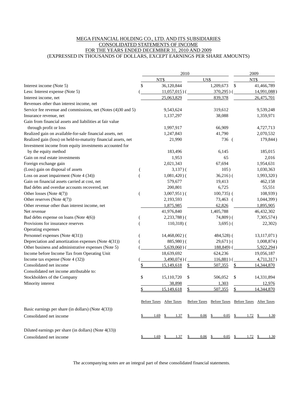#### MEGA FINANCIAL HOLDING CO., LTD. AND ITS SUBSIDIARIES CONSOLIDATED STATEMENTS OF INCOME FOR THE YEARS ENDED DECEMBER 31, 2010 AND 2009 (EXPRESSED IN THOUSANDS OF DOLLARS, EXCEPT EARNINGS PER SHARE AMOUNTS)

|                                                                | 2010                           |                         | 2009                                               |                 |                      |                      |
|----------------------------------------------------------------|--------------------------------|-------------------------|----------------------------------------------------|-----------------|----------------------|----------------------|
|                                                                | NT\$                           | US\$                    |                                                    |                 | NT\$                 |                      |
| Interest income (Note 5)                                       | \$<br>36,120,844               |                         | 1,209,673                                          | $\mathcal{S}$   |                      | 41,466,789           |
| Less: Interest expense (Note 5)                                | $11,057,015$ ) (               |                         | $370,295$ )                                        |                 |                      | 14,991,088)          |
| Interest income, net                                           | 25,063,829                     |                         | 839,378                                            |                 |                      | 26,475,701           |
| Revenues other than interest income, net                       |                                |                         |                                                    |                 |                      |                      |
| Service fee revenue and commissions, net (Notes (4)30 and 5)   | 9,543,624                      |                         | 319,612                                            |                 |                      | 9,539,248            |
| Insurance revenue, net                                         | 1,137,297                      |                         | 38,088                                             |                 |                      | 1,359,971            |
| Gain from financial assets and liabilities at fair value       |                                |                         |                                                    |                 |                      |                      |
| through profit or loss                                         | 1,997,917                      |                         | 66,909                                             |                 |                      | 4,727,713            |
| Realized gain on available-for-sale financial assets, net      | 1,247,843                      |                         | 41,790                                             |                 |                      | 2,070,532            |
| Realized gain (loss) on held-to-maturity financial assets, net | 21,990                         |                         | 736 (                                              |                 |                      | 179,844)             |
| Investment income from equity investments accounted for        |                                |                         |                                                    |                 |                      |                      |
| by the equity method                                           | 183,496                        |                         | 6,145                                              |                 |                      | 185,015              |
| Gain on real estate investments                                | 1,953                          |                         | 65                                                 |                 |                      | 2,016                |
| Foreign exchange gain                                          | 2,021,343                      |                         | 67,694                                             |                 |                      | 1,954,631            |
| (Loss) gain on disposal of assets                              | $3,137$ ) (                    |                         | 105)                                               |                 |                      | 1,030,363            |
| Loss on asset impairment (Note 4 (34))                         | $1,081,420$ ) (                |                         | $36,216$ ) $($                                     |                 |                      | 1,993,320)           |
| Gain on financial assets carried at cost, net                  | 579,677                        |                         | 19,413                                             |                 |                      | 462,158              |
| Bad debts and overdue accounts recovered, net                  | 200,801                        |                         | 6,725                                              |                 |                      | 55,551               |
| Other losses (Note 4(7))                                       | $3,007,951$ )(                 |                         | $100,735$ (                                        |                 |                      | 108,939)             |
| Other reserves (Note 4(7))                                     | 2,193,593                      |                         | 73,463 (                                           |                 |                      | 1,044,399)           |
| Other revenue other than interest income, net                  | 1,875,985                      |                         | 62,826                                             |                 |                      | 1,895,905            |
| Net revenue                                                    | 41,976,840                     |                         | 1,405,788                                          |                 |                      | 46,432,302           |
| Bad debts expense on loans (Note 4(6))                         | $2,233,788$ )(                 |                         | $74,809$ ) (                                       |                 |                      | 7,305,574)           |
| Provisions for insurance reserves                              | $110,318$ (                    |                         | $3,695$ ) (                                        |                 |                      | 22,302)              |
| Operating expenses                                             |                                |                         |                                                    |                 |                      |                      |
| Personnel expenses (Note 4(31))                                | $14,468,002$ )(                |                         | 484,528) (                                         |                 |                      | 13,117,071)          |
| Depreciation and amortization expenses (Note 4(31))            | $885,980$ (                    |                         | $29,671)$ (                                        |                 |                      | 1,008,874)           |
| Other business and administrative expenses (Note 5)            | $5,639,060$ ) (                |                         | $188,849$ (                                        |                 |                      | 5,922,294)           |
| Income before Income Tax from Operating Unit                   | 18,639,692                     |                         | 624,236                                            |                 |                      | 19,056,187           |
| Income tax expense (Note 4 (32))                               | $3,490,074$ ) (                |                         | $116,881)$ (                                       |                 |                      | 4,711,317)           |
| Consolidated net income                                        | 15,149,618                     | S                       | 507,355                                            | \$              |                      | 14,344,870           |
| Consolidated net income attributable to:                       |                                |                         |                                                    |                 |                      |                      |
| Stockholders of the Company                                    | \$<br>15,110,720               | \$                      | 506,052                                            | \$              |                      | 14,331,894           |
| Minority interest                                              | 38,898                         |                         | 1,303                                              |                 |                      | 12,976               |
|                                                                | 15,149,618                     | \$                      | 507,355                                            | \$              |                      | 14,344,870           |
|                                                                | Before Taxes After Taxes       |                         | Before Taxes Before Taxes Before Taxes After Taxes |                 |                      |                      |
| Basic earnings per share (in dollars) (Note 4(33))             |                                |                         |                                                    |                 |                      |                      |
| Consolidated net income                                        | 1.37<br>1.69<br>$\mathbb{S}^-$ | 0.06 <sup>5</sup><br>S. |                                                    |                 | $0.05 \quad$ \$ 1.72 | $\mathbf{s}$<br>1.30 |
| Diluted earnings per share (in dollars) (Note 4(33))           |                                |                         |                                                    |                 |                      |                      |
| Consolidated net income                                        | 1.69 \$<br>1.37                | $\overline{P}$          | $0.06$ \$                                          | $0.05 \quad$ \$ | 1.72S                | <u>1.30</u>          |

The accompanying notes are an integral part of these consolidated financial statements.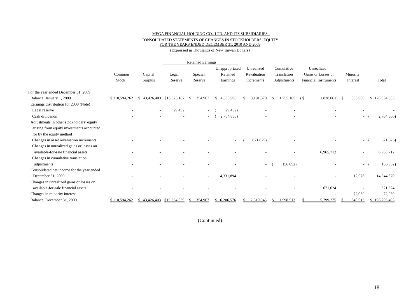#### MEGA FINANCIAL HOLDING CO., LTD. AND ITS SUBSIDIARIES CONSOLIDATED STATEMENTS OF CHANGES IN STOCKHOLDERS' EQUITY FOR THE YEARS ENDED DECEMBER 31, 2010 AND 2009

(Expressed in Thousands of New Taiwan Dollars)

|                                            |               |                          |              | <b>Retained Earnings</b> |                |                          |                 |                              |          |               |
|--------------------------------------------|---------------|--------------------------|--------------|--------------------------|----------------|--------------------------|-----------------|------------------------------|----------|---------------|
|                                            |               |                          |              |                          | Unappropriated | Unrealized               | Cumulative      | Unrealized                   |          |               |
|                                            | Common        | Capital                  | Legal        | Special                  | Retained       | Revaluation              | Translation     | Gains or Losses on           | Minority |               |
|                                            | Stock         | Surplus                  | Reserve      | Reserve                  | Earnings       | Increments               | Adjustments     | <b>Financial Instruments</b> | Interest | Total         |
| For the year ended December 31, 2009       |               |                          |              |                          |                |                          |                 |                              |          |               |
| Balance, January 1, 2009                   | \$110,594,262 | \$43,426,403             | \$15,325,187 | 354,967<br>-S            | \$4.668,990    | 3,191,570                | 1.755.165<br>-S | 1,838,061) \$<br>(\$         | 555,900  | \$178,034,383 |
| Earnings distribution for 2008 (Note)      |               |                          |              |                          |                |                          |                 |                              |          |               |
| Legal reserve                              |               | $\overline{\phantom{a}}$ | 29,452       | $\overline{\phantom{a}}$ | 29,452)        |                          |                 |                              |          |               |
| Cash dividends                             |               |                          |              | $\overline{\phantom{a}}$ | 2,764,856)     |                          |                 |                              | $\sim$   | 2,764,856)    |
| Adjustments in other stockholders' equity  |               |                          |              |                          |                |                          |                 |                              |          |               |
| arising from equity investments accounted  |               |                          |              |                          |                |                          |                 |                              |          |               |
| for by the equity method                   |               |                          |              |                          |                |                          |                 |                              |          |               |
| Changes in asset revaluation increments    |               |                          |              |                          |                | 871,625)                 |                 |                              | $\sim$   | 871,625)      |
| Changes in unrealized gains or losses on   |               |                          |              |                          |                |                          |                 |                              |          |               |
| available-for-sale financial assets        |               |                          |              |                          |                |                          |                 | 6,965,712                    | $\sim$   | 6,965,712     |
| Changes in cumulative translation          |               |                          |              |                          |                |                          |                 |                              |          |               |
| adjustments                                |               |                          |              |                          |                | $\overline{\phantom{a}}$ | 156,652)        |                              | $\sim$   | 156,652)      |
| Consolidated net income for the year ended |               |                          |              |                          |                |                          |                 |                              |          |               |
| December 31, 2009                          |               |                          |              | $\overline{\phantom{a}}$ | 14,331,894     |                          |                 |                              | 12,976   | 14,344,870    |
| Changes in unrealized gains or losses on   |               |                          |              |                          |                |                          |                 |                              |          |               |
| available-for-sale financial assets        |               |                          |              |                          |                |                          |                 | 671,624                      |          | 671,624       |
| Changes in minority interest               |               |                          |              |                          |                |                          |                 |                              | 72,039   | 72,039        |
| Balance, December 31, 2009                 | \$110,594,262 | \$43,426,403             | \$15,354,639 | 354,967<br>\$.           | \$16,206,576   | 2,319,945                | ,598,513        | 5,799,275                    | 640,915  | \$196,295,495 |

(Continued)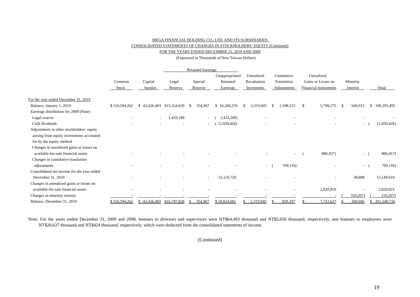#### MEGA FINANCIAL HOLDING CO., LTD. AND ITS SUBSIDIARIES

#### CONSOLIDATED STATEMENTS OF CHANGES IN STOCKHOLDERS' EQUITY (Continued)

FOR THE YEARS ENDED DECEMBER 31, 2010 AND 2009

(Expressed in Thousands of New Taiwan Dollars)

|                                            |               |                           |              | <b>Retained Earnings</b> |                |             |                            |                              |                 |                   |
|--------------------------------------------|---------------|---------------------------|--------------|--------------------------|----------------|-------------|----------------------------|------------------------------|-----------------|-------------------|
|                                            |               |                           |              |                          | Unappropriated | Unrealized  | Cumulative                 | Unrealized                   |                 |                   |
|                                            | Common        | Capital                   | Legal        | Special                  | Retained       | Revaluation | Translation                | Gains or Losses on           | Minority        |                   |
|                                            | Stock         | Surplus                   | Reserve      | Reserve                  | Earnings       | Increments  | Adjustments                | <b>Financial Instruments</b> | Interest        | Total             |
| For the year ended December 31, 2010       |               |                           |              |                          |                |             |                            |                              |                 |                   |
| Balance, January 1, 2010                   | \$110,594,262 | \$43,426,403              | \$15,354,639 | 354,967                  | \$16,206,576   | 2,319,945   | 1,598,513<br><sup>\$</sup> | S.<br>5,799,275              | 640,915<br>-8   | 196,295,495<br>S. |
| Earnings distribution for 2009 (Note)      |               |                           |              |                          |                |             |                            |                              |                 |                   |
| Legal reserve                              |               | $\sim$                    | 1,433,189    | $\sim$                   | ,433,189)      |             |                            |                              |                 |                   |
| Cash dividends                             |               |                           |              | $\sim$                   | (1,059,426)    |             |                            |                              | $\sim$          | 11,059,426)       |
| Adjustments in other stockholders' equity  |               |                           |              |                          |                |             |                            |                              |                 |                   |
| arising from equity investments accounted  |               |                           |              |                          |                |             |                            |                              |                 |                   |
| for by the equity method                   |               |                           |              |                          |                |             |                            |                              |                 |                   |
| Changes in unrealized gains or losses on   |               |                           |              |                          |                |             |                            |                              |                 |                   |
| available-for-sale financial assets        |               |                           |              |                          |                |             |                            | 886,457)                     | $\sim$          | 886,457)          |
| Changes in cumulative translation          |               |                           |              |                          |                |             |                            |                              |                 |                   |
| adjustments                                |               |                           |              |                          |                | $\sim$      | 769,116)                   |                              | $\sim$ 10 $\pm$ | 769,116)          |
| Consolidated net income for the year ended |               |                           |              |                          |                |             |                            |                              |                 |                   |
| December 31, 2010                          |               |                           |              | $\overline{\phantom{a}}$ | 15,110,720     |             |                            |                              | 38,898          | 15,149,618        |
| Changes in unrealized gains or losses on   |               |                           |              |                          |                |             |                            |                              |                 |                   |
| available-for-sale financial assets        |               |                           |              |                          |                |             |                            | 2,820,819                    |                 | 2,820,819         |
| Changes in minority interest               |               |                           |              |                          |                |             |                            |                              | 310,207)        | 310,207)          |
| Balance, December 31, 2010                 | \$110,594,262 | \$43,426,403 \$16,787,828 |              | 354,967<br>-S            | \$18,824,681   | 2,319,945   | 829,397                    | 7,733,637                    | 369,606         | 201,240,726       |

Note: For the years ended December 31, 2009 and 2008, bonuses to directors and supervisors were NT\$64,493 thousand and NT\$2,650 thousand, respectively, and bonuses to employees were NT\$20,637 thousand and NT\$424 thousand, respectively, which were deducted from the consolidated statements of income.

(Continued)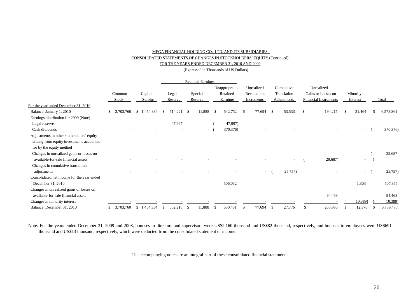#### MEGA FINANCIAL HOLDING CO., LTD. AND ITS SUBSIDIARIES CONSOLIDATED STATEMENTS OF CHANGES IN STOCKHOLDERS' EQUITY (Continued) FOR THE YEARS ENDED DECEMBER 31, 2010 AND 2009

(Expressed in Thousands of US Dollars)

|                                            |                 |             |               |                          | <b>Retained Earnings</b> |               |                |               |                          |     |                          |               |                              |          |          |           |
|--------------------------------------------|-----------------|-------------|---------------|--------------------------|--------------------------|---------------|----------------|---------------|--------------------------|-----|--------------------------|---------------|------------------------------|----------|----------|-----------|
|                                            |                 |             |               |                          |                          |               | Unappropriated |               | Unrealized               |     | Cumulative               |               | Unrealized                   |          |          |           |
|                                            | Common          | Capital     | Legal         |                          | Special                  |               | Retained       |               | Revaluation              |     | Translation              |               | Gains or Losses on           | Minority |          |           |
|                                            | Stock           | Surplus     | Reserve       |                          | Reserve                  |               | Earnings       |               | Increments               |     | Adjustments              |               | <b>Financial Instruments</b> |          | Interest | Total     |
| For the year ended December 31, 2010       |                 |             |               |                          |                          |               |                |               |                          |     |                          |               |                              |          |          |           |
| Balance, January 1, 2010                   | 3,703,760<br>\$ | \$1,454,334 | 514,221<br>-S | - \$                     | 11,888                   | <sup>\$</sup> | 542,752        | <sup>\$</sup> | 77,694                   | -\$ | 53,533                   | $\mathbf{\$}$ | 194,215                      |          | 21,464   | 6,573,861 |
| Earnings distribution for 2009 (Note)      |                 |             |               |                          |                          |               |                |               |                          |     |                          |               |                              |          |          |           |
| Legal reserve                              |                 |             | 47,997        |                          | $\sim$                   |               | 47,997)        |               |                          |     |                          |               |                              |          |          |           |
| Cash dividends                             |                 |             |               | $\overline{\phantom{a}}$ | $\sim$                   |               | 370, 376)      |               | $\overline{\phantom{a}}$ |     | $\overline{\phantom{a}}$ |               | $\overline{\phantom{a}}$     |          | $\sim$   | 370, 376) |
| Adjustments in other stockholders' equity  |                 |             |               |                          |                          |               |                |               |                          |     |                          |               |                              |          |          |           |
| arising from equity investments accounted  |                 |             |               |                          |                          |               |                |               |                          |     |                          |               |                              |          |          |           |
| for by the equity method                   |                 |             |               |                          |                          |               |                |               |                          |     |                          |               |                              |          |          |           |
| Changes in unrealized gains or losses on   |                 |             |               |                          |                          |               |                |               |                          |     |                          |               |                              |          |          | 29,687    |
| available-for-sale financial assets        |                 |             |               |                          |                          |               |                |               |                          |     |                          |               | 29,687)                      |          | -        |           |
| Changes in cumulative translation          |                 |             |               |                          |                          |               |                |               |                          |     |                          |               |                              |          |          |           |
| adjustments                                |                 |             |               |                          |                          |               |                |               | $\sim$ 100 $\mu$         |     | 25,757)                  |               |                              |          | $\sim$   | 25,757)   |
| Consolidated net income for the year ended |                 |             |               |                          |                          |               |                |               |                          |     |                          |               |                              |          |          |           |
| December 31, 2010                          |                 |             |               |                          | $\overline{\phantom{a}}$ |               | 506,052        |               |                          |     |                          |               | $\overline{\phantom{a}}$     |          | 1,303    | 507,355   |
| Changes in unrealized gains or losses on   |                 |             |               |                          |                          |               |                |               |                          |     |                          |               |                              |          |          |           |
| available-for-sale financial assets        |                 |             |               |                          |                          |               |                |               |                          |     |                          |               | 94,468                       |          |          | 94,468    |
| Changes in minority interest               |                 |             |               |                          |                          |               |                |               |                          |     |                          |               |                              |          | 10,389)  | 10,389)   |
| Balance, December 31, 2010                 | 3,703,760       | \$1,454,334 | 562,218<br>-S |                          | 11,888                   |               | 630,431        |               | 77,694                   |     | 27,776                   |               | 258,996                      |          | 12,378   | 6,739,475 |

Note: For the years ended December 31, 2009 and 2008, bonuses to directors and supervisors were US\$2,160 thousand and US\$82 thousand, respectively, and bonuses to employees were US\$691 thousand and US\$13 thousand, respectively, which were deducted from the consolidated statement of income.

The accompanying notes are an integral part of these consolidated financial statements.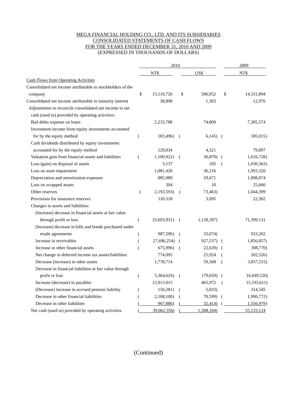#### MEGA FINANCIAL HOLDING CO., LTD. AND ITS SUBSIDIARIES CONSOLIDATED STATEMENTS OF CASH FLOWS FOR THE YEARS ENDED DECEMBER 31, 2010 AND 2009 (EXPRESSED IN THOUSANDS OF DOLLARS)

|                                                             |                  | 2010        |          | 2009        |          |             |  |
|-------------------------------------------------------------|------------------|-------------|----------|-------------|----------|-------------|--|
|                                                             |                  | NT\$        |          | US\$        |          | NT\$        |  |
| <b>Cash Flows from Operating Activities</b>                 |                  |             |          |             |          |             |  |
| Consolidated net income attributable to stockholders of the |                  |             |          |             |          |             |  |
| company                                                     | \$               | 15,110,720  | \$       | 506,052     | \$       | 14,331,894  |  |
| Consolidated net income attributable to minority interest   |                  | 38,898      |          | 1,303       |          | 12,976      |  |
| Adjustments to reconcile consolidated net income to net     |                  |             |          |             |          |             |  |
| cash (used in) provided by operating activities:            |                  |             |          |             |          |             |  |
| Bad debts expense on loans                                  |                  | 2,233,788   |          | 74,809      |          | 7,305,574   |  |
| Investment income from equity investments accounted         |                  |             |          |             |          |             |  |
| for by the equity method                                    | $\left($         | 183,496)    | $\left($ | $6,145$ (   |          | 185,015)    |  |
| Cash dividends distributed by equity investments            |                  |             |          |             |          |             |  |
| accounted for by the equity method                          |                  | 129,034     |          | 4,321       |          | 79,897      |  |
| Valuation gain from financial assets and liabilities        | $\left($         | 1,100,922)  | - (      | 36,870)     | $\left($ | 1,016,728)  |  |
| Loss (gain) on disposal of assets                           |                  | 3,137       |          | 105         | (        | 1,030,363)  |  |
| Loss on asset impairment                                    |                  | 1,081,420   |          | 36,216      |          | 1,993,320   |  |
| Depreciation and amortization expenses                      |                  | 885,980     |          | 29,671      |          | 1,008,874   |  |
| Loss on scrapped assets                                     |                  | 304         |          | 10          |          | 25,666      |  |
| Other reserves                                              | $\overline{(\ }$ | 2,193,593)  | (        | 73,463)     |          | 1,044,399   |  |
| Provisions for insurance reserves                           |                  | 110,318     |          | 3,695       |          | 22,302      |  |
| Changes in assets and liabilities:                          |                  |             |          |             |          |             |  |
| (Increase) decrease in financial assets at fair value       |                  |             |          |             |          |             |  |
| through profit or loss                                      | €                | 33,693,931) | - (      | 1,128,397)  |          | 71,399,131  |  |
| (Increase) decrease in bills and bonds purchased under      |                  |             |          |             |          |             |  |
| resale agreements                                           | €                | 987,596)    | $\left($ | 33,074)     |          | 933,202     |  |
| Increase in receivables                                     | $\left($         | 27,696,254) |          | 927,537) (  |          | 1,856,857)  |  |
| Increase in other financial assets                          | $\overline{(}$   | 675,996)    |          | 22,639)     |          | 398,770)    |  |
| Net change in deferred income tax assets/liabilities        |                  | 774,095     |          | 25,924      |          | 202,526)    |  |
| Decrease (increase) in other assets                         |                  | 1,778,714   |          | 59,568      | (        | 3,857,515)  |  |
| Decrease in financial liabilities at fair value through     |                  |             |          |             |          |             |  |
| profit or loss                                              | $\left($         | 5,364,624)  | - (      | $179,659$ ( |          | 16,049,520) |  |
| Increase (decrease) in payables                             |                  | 13,913,915  |          | 465,972     | -6       | 15,193,611) |  |
| (Decrease) increase in accrued pension liability            | (                | 150,281)    | $\left($ | 5,033       |          | 314,545     |  |
| Decrease in other financial liabilities                     | (                | 2,108,100)  |          | 70,599)     | - (      | 1,990,772)  |  |
| Decrease in other liabilities                               |                  | 967,886)    |          | 32,414)     |          | 1,556,979)  |  |
| Net cash (used in) provided by operating activities         |                  | 39,062,356) |          | 1,308,184)  |          | 55,133,124  |  |

## (Continued)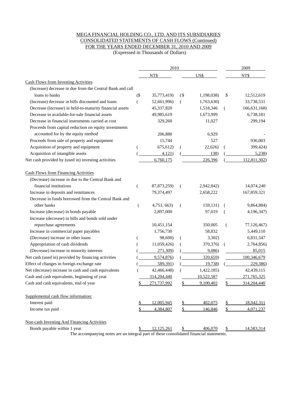#### MEGA FINANCIAL HOLDING CO., LTD. AND ITS SUBSIDIARIES CONSOLIDATED STATEMENTS OF CASH FLOWS (Continued) FOR THE YEARS ENDED DECEMBER 31, 2010 AND 2009

(Expressed in Thousands of Dollars)

|                                                           |        | 2010        |        | 2009       |    |              |
|-----------------------------------------------------------|--------|-------------|--------|------------|----|--------------|
|                                                           |        | NT\$        |        | US\$       |    | NT\$         |
| <b>Cash Flows from Investing Activities</b>               |        |             |        |            |    |              |
| (Increase) decrease in due from the Central Bank and call |        |             |        |            |    |              |
| loans to banks                                            | $($ \$ | 35,773,419) | $($ \$ | 1,198,038) | \$ | 12,512,619   |
| (Increase) decrease in bills discounted and loans         |        | 52,661,996) | €      | 1,763,630) |    | 33,738,531   |
| Decrease (increase) in held-to-maturity financial assets  |        | 45,337,820  |        | 1,518,346  | (  | 166,631,168) |
| Decrease in available-for-sale financial assets           |        | 49,985,619  |        | 1,673,999  |    | 6,738,181    |
| Decrease in financial instruments carried at cost         |        | 329,260     |        | 11,027     |    | 299,194      |
| Proceeds from capital reduction on equity investments     |        |             |        |            |    |              |
| accounted for by the equity method                        |        | 206,880     |        | 6,929      |    |              |
| Proceeds from sale of property and equipment              |        | 15,744      |        | 527        |    | 936,003      |
| Acquisition of property and equipment                     |        | 675,612)    |        | 22,626)    |    | 399,424)     |
| Acquisition of intangible assets                          |        | 4,121)      |        | 138)       |    | 5,238        |
| Net cash provided by (used in) investing activities       |        | 6,760,175   |        | 226,396    |    | 112,811,302) |
| <b>Cash Flows from Financing Activities</b>               |        |             |        |            |    |              |
| (Decrease) increase in due to the Central Bank and        |        |             |        |            |    |              |
| financial institutions                                    | (      | 87,873,259) | (      | 2,942,842) |    | 14,074,240   |
| Increase in deposits and remittances                      |        | 79,374,497  |        | 2,658,222  |    | 167,859,321  |
| Decrease in funds borrowed from the Central Bank and      |        |             |        |            |    |              |
| other banks                                               | (      | 4,751, 663) | €      | 159,131)   |    | 9,864,884)   |
| Increase (decrease) in bonds payable                      |        | 2,897,000   |        | 97,019     |    | 4,196,347)   |
| Increase (decrease) in bills and bonds sold under         |        |             |        |            |    |              |
| repurchase agreements                                     |        | 10,451,154  |        | 350,005    |    | 77,126,467)  |
| Increase in commercial paper payables                     |        | 1,756,730   |        | 58,832     |    | 5,449,110    |
| (Decrease) increase in other loans                        |        | 98,600)     |        | 3,302)     |    | 6,831,547    |
| Appropriation of cash dividends                           |        | 11,059,426) |        | 370,376)   | (  | 2,764,856)   |
| (Decrease) increase in minority interests                 |        | 271,309)    |        | 9,086      |    | 85,015       |
| Net cash (used in) provided by financing activities       |        | 9,574,876)  |        | 320,659)   |    | 100,346,679  |
| Effect of changes in foreign exchange rate                |        | 589,391)    |        | 19,738)    |    | 229,386)     |
| Net (decrease) increase in cash and cash equivalents      |        | 42,466,448) |        | 1,422,185) |    | 42,439,115   |
| Cash and cash equivalents, beginning of year              |        | 314,204,440 |        | 10,522,587 |    | 271,765,325  |
| Cash and cash equivalents, end of year                    | \$     | 271,737,992 | \$     | 9,100,402  | \$ | 314,204,440  |
| Supplemental cash flow information:                       |        |             |        |            |    |              |
| Interest paid                                             |        | 12,005,945  |        | 402,075    | \$ | 18,042,311   |
| Income tax paid                                           |        | 4,384,807   | \$     | 146,846    | \$ | 4,071,237    |
| Non-cash Investing And Financing Activities               |        |             |        |            |    |              |
| Bonds payable within 1 year                               | \$.    | 12,125,261  |        | 406,070    |    | 14,583,314   |

The accompanying notes are an integral part of these consolidated financial statements.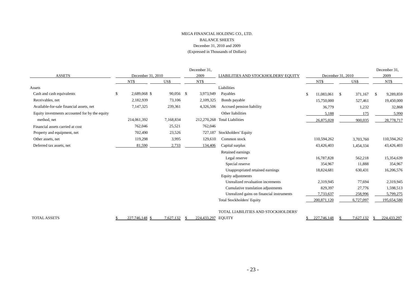#### MEGA FINANCIAL HOLDING CO., LTD. BALANCE SHEETS December 31, 2010 and 2009 (Expressed in Thousands of Dollars)

|                                                |                    |           |  | December 31, |                                           |  |                   |                    |           |    | December 31, |
|------------------------------------------------|--------------------|-----------|--|--------------|-------------------------------------------|--|-------------------|--------------------|-----------|----|--------------|
| <b>ASSETS</b>                                  | December 31, 2010  |           |  | 2009         | LIABILITIES AND STOCKHOLDERS' EQUITY      |  | December 31, 2010 |                    |           |    | 2009         |
|                                                | NT\$               | US\$      |  | NT\$         |                                           |  | NT\$              |                    | US\$      |    | NT\$         |
| Assets                                         |                    |           |  |              | Liabilities                               |  |                   |                    |           |    |              |
| Cash and cash equivalents                      | \$<br>2,689,068 \$ | 90,056 \$ |  | 3,973,949    | Payables                                  |  | 11,083,061        | $\mathbf{\hat{S}}$ | 371,167   | S. | 9,289,859    |
| Receivables, net                               | 2,182,939          | 73,106    |  | 2,109,325    | Bonds payable                             |  | 15,750,000        |                    | 527,461   |    | 19,450,000   |
| Available-for-sale financial assets, net       | 7,147,325          | 239,361   |  | 4,326,506    | Accrued pension liability                 |  | 36,779            |                    | 1,232     |    | 32,868       |
| Equity investments accounted for by the equity |                    |           |  |              | Other liabilities                         |  | 5,188             |                    | 175       |    | 5,990        |
| method, net                                    | 214,061,392        | 7,168,834 |  |              | 212,270,268 Total Liabilities             |  | 26,875,028        |                    | 900,035   |    | 28,778,717   |
| Financial assets carried at cost               | 762,046            | 25,521    |  | 762,046      |                                           |  |                   |                    |           |    |              |
| Property and equipment, net                    | 702,490            | 23,526    |  | 727,187      | Stockholders' Equity                      |  |                   |                    |           |    |              |
| Other assets, net                              | 119,298            | 3,995     |  | 129,610      | Common stock                              |  | 110,594,262       |                    | 3,703,760 |    | 110,594,262  |
| Deferred tax assets, net                       | 81,590             | 2,733     |  | 134,406      | Capital surplus                           |  | 43,426,403        |                    | 1,454,334 |    | 43,426,403   |
|                                                |                    |           |  |              | Retained earnings                         |  |                   |                    |           |    |              |
|                                                |                    |           |  |              | Legal reserve                             |  | 16,787,828        |                    | 562,218   |    | 15,354,639   |
|                                                |                    |           |  |              | Special reserve                           |  | 354,967           |                    | 11,888    |    | 354,967      |
|                                                |                    |           |  |              | Unappropriated retained earnings          |  | 18,824,681        |                    | 630,431   |    | 16,206,576   |
|                                                |                    |           |  |              | Equity adjustments                        |  |                   |                    |           |    |              |
|                                                |                    |           |  |              | Unrealized revaluation increments         |  | 2,319,945         |                    | 77,694    |    | 2,319,945    |
|                                                |                    |           |  |              | Cumulative translation adjustments        |  | 829,397           |                    | 27,776    |    | 1,598,513    |
|                                                |                    |           |  |              | Unrealized gains on financial instruments |  | 7,733,637         |                    | 258,996   |    | 5,799,275    |
|                                                |                    |           |  |              | <b>Total Stockholders' Equity</b>         |  | 200,871,120       |                    | 6,727,097 |    | 195,654,580  |
|                                                |                    |           |  |              | TOTAL LIABILITIES AND STOCKHOLDERS'       |  |                   |                    |           |    |              |
| <b>TOTAL ASSETS</b>                            | 227,746,148        | 7,627,132 |  | 224,433,297  | <b>EQUITY</b>                             |  | 227,746,148       |                    | 7,627,132 |    | 224,433,297  |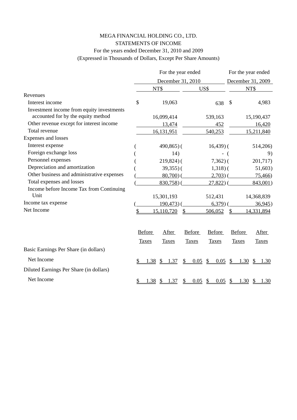## MEGA FINANCIAL HOLDING CO., LTD. STATEMENTS OF INCOME For the years ended December 31, 2010 and 2009 (Expressed in Thousands of Dollars, Except Per Share Amounts)

|                                                                                 |    | For the year ended |               |               |                   |      |               |                |               | For the year ended |                       |  |  |  |  |
|---------------------------------------------------------------------------------|----|--------------------|---------------|---------------|-------------------|------|---------------|----------------|---------------|--------------------|-----------------------|--|--|--|--|
|                                                                                 |    |                    |               |               | December 31, 2010 |      |               |                |               |                    | December 31, 2009     |  |  |  |  |
|                                                                                 |    | NT\$               |               |               |                   | US\$ |               |                |               |                    | NT\$                  |  |  |  |  |
| Revenues                                                                        |    |                    |               |               |                   |      |               |                |               |                    |                       |  |  |  |  |
| Interest income                                                                 | \$ |                    | 19,063        |               |                   |      |               | 638            | \$            |                    | 4,983                 |  |  |  |  |
| Investment income from equity investments<br>accounted for by the equity method |    |                    | 16,099,414    |               |                   |      |               | 539,163        |               |                    | 15,190,437            |  |  |  |  |
| Other revenue except for interest income                                        |    |                    |               | 13,474        |                   |      |               | 452            |               |                    | 16,420                |  |  |  |  |
| Total revenue                                                                   |    |                    | 16,131,951    |               |                   |      |               | 540,253        |               |                    | 15,211,840            |  |  |  |  |
| Expenses and losses                                                             |    |                    |               |               |                   |      |               |                |               |                    |                       |  |  |  |  |
| Interest expense                                                                |    |                    |               | $490,865$ ) ( |                   |      |               | $16,439$ (     |               |                    | 514,206)              |  |  |  |  |
| Foreign exchange loss                                                           |    |                    |               | 14)           |                   |      |               |                |               |                    | 9)                    |  |  |  |  |
| Personnel expenses                                                              |    |                    |               | $219,824$ ) ( |                   |      |               | $7,362$ ) (    |               |                    | 201,717)              |  |  |  |  |
| Depreciation and amortization                                                   |    |                    |               | $39,355$ )(   |                   |      |               | $1,318$ ) (    |               |                    | 51,603)               |  |  |  |  |
| Other business and administrative expenses                                      |    |                    |               | $80,700$ (    |                   |      |               | $2,703)$ (     |               |                    | 75,466                |  |  |  |  |
| Total expenses and losses                                                       |    |                    |               | $830,758$ )(  |                   |      |               | $27,822$ ) $($ |               |                    | 843,001)              |  |  |  |  |
| Income before Income Tax from Continuing<br>Unit                                |    |                    | 15,301,193    |               |                   |      |               | 512,431        |               |                    | 14,368,839            |  |  |  |  |
| Income tax expense                                                              |    |                    | 190,473)      |               |                   |      |               | 6,379)         |               |                    | 36,945)               |  |  |  |  |
| Net Income                                                                      |    |                    | 15,110,720    |               |                   |      |               | 506,052        |               |                    | 14,331,894            |  |  |  |  |
|                                                                                 |    | Before             | <b>After</b>  |               | Before            |      |               | <b>Before</b>  |               | Before             | After                 |  |  |  |  |
|                                                                                 |    | <b>Taxes</b>       | <b>Taxes</b>  |               | <b>Taxes</b>      |      |               | <b>Taxes</b>   |               | <b>Taxes</b>       | <b>Taxes</b>          |  |  |  |  |
| Basic Earnings Per Share (in dollars)                                           |    |                    |               |               |                   |      |               |                |               |                    |                       |  |  |  |  |
| Net Income                                                                      | \$ | 1.38               | \$1.37        |               | \$                | 0.05 | $\frac{1}{2}$ | 0.05           | $\frac{1}{2}$ | 1.30               | $\frac{1}{2}$<br>1.30 |  |  |  |  |
| Diluted Earnings Per Share (in dollars)                                         |    |                    |               |               |                   |      |               |                |               |                    |                       |  |  |  |  |
| Net Income                                                                      | S  | 1.38               | <sup>\$</sup> | 1.37          | S                 | 0.05 | $\frac{1}{2}$ | 0.05           | -S            | 1.30               | $\mathcal{S}$<br>1.30 |  |  |  |  |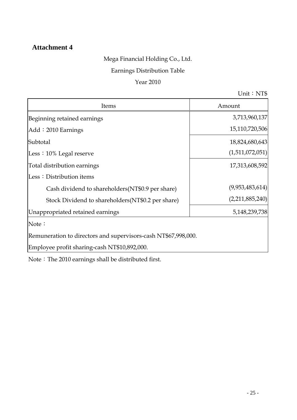# **Attachment 4**

# Mega Financial Holding Co., Ltd.

# Earnings Distribution Table

# Year 2010

Unit: $NTS$ 

| Items                                                          | Amount          |
|----------------------------------------------------------------|-----------------|
| Beginning retained earnings                                    | 3,713,960,137   |
| Add: 2010 Earnings                                             | 15,110,720,506  |
| Subtotal                                                       | 18,824,680,643  |
| Less $: 10\%$ Legal reserve                                    | (1,511,072,051) |
| Total distribution earnings                                    | 17,313,608,592  |
| Less: Distribution items                                       |                 |
| Cash dividend to shareholders (NT\$0.9 per share)              | (9,953,483,614) |
| Stock Dividend to shareholders (NT\$0.2 per share)             | (2,211,885,240) |
| Unappropriated retained earnings                               | 5,148,239,738   |
| Note:                                                          |                 |
| Remuneration to directors and supervisors-cash NT\$67,998,000. |                 |
| Employee profit sharing-cash NT\$10,892,000.                   |                 |

 $\hbox{Note:}$  The 2010 earnings shall be distributed first.